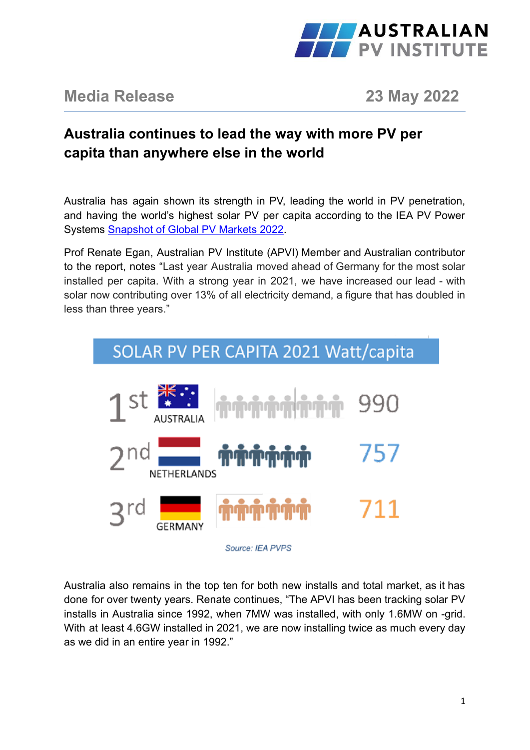

## **Media Release 23 May 2022**

## **Australia continues to lead the way with more PV per capita than anywhere else in the world**

Australia has again shown its strength in PV, leading the world in PV penetration, and having the world's highest solar PV per capita according to the IEA PV Power Systems [Snapshot of Global PV Markets 2022](https://iea-pvps.org/snapshot-reports/snapshot-2022/).

Prof Renate Egan, Australian PV Institute (APVI) Member and Australian contributor to the report, notes "Last year Australia moved ahead of Germany for the most solar installed per capita. With a strong year in 2021, we have increased our lead - with solar now contributing over 13% of all electricity demand, a figure that has doubled in less than three years."



Australia also remains in the top ten for both new installs and total market, as it has done for over twenty years. Renate continues, "The APVI has been tracking solar PV installs in Australia since 1992, when 7MW was installed, with only 1.6MW on -grid. With at least 4.6GW installed in 2021, we are now installing twice as much every day as we did in an entire year in 1992."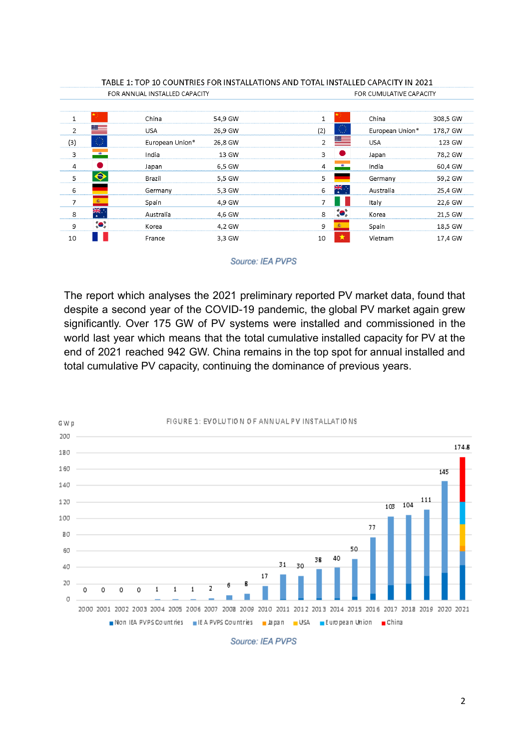| IADLE I. TUP IU CUUN<br><u>UN INSTALLATIUNS AND TUTAL INSTALLED CAPACITY IN ZUZ I</u> |                   |                 |         |                      |                         |          |  |
|---------------------------------------------------------------------------------------|-------------------|-----------------|---------|----------------------|-------------------------|----------|--|
| FOR ANNUAL INSTALLED CAPACITY                                                         |                   |                 |         |                      | FOR CUMULATIVE CAPACITY |          |  |
|                                                                                       |                   |                 |         |                      |                         |          |  |
| 1                                                                                     |                   | China           | 54.9 GW |                      | China                   | 308.5 GW |  |
| $\overline{2}$                                                                        |                   | <b>USA</b>      | 26,9 GW | (2)                  | European Union*         | 178,7 GW |  |
| (3)                                                                                   | ξģ                | European Union* | 26.8 GW | 2                    | <b>USA</b>              | 123 GW   |  |
| 3                                                                                     | 189               | India           | 13 GW   | 3                    | Japan                   | 78.2 GW  |  |
| 4                                                                                     |                   | Japan           | 6.5 GW  | 4                    | India                   | 60,4 GW  |  |
| 5                                                                                     |                   | Brazil          | 5.5 GW  | 5                    | Germany                 | 59.2 GW  |  |
| 6                                                                                     |                   | Germany         | 5.3 GW  | <u>सुरु</u> । ।<br>6 | Australia               | 25,4 GW  |  |
| $\overline{ }$                                                                        | 廊                 | Spain           | 4.9 GW  | ٦                    | Italy                   | 22.6 GW  |  |
| 8                                                                                     | <del>계6</del> . . | Australia       | 4.6 GW  | "O"<br>8             | Korea                   | 21,5 GW  |  |
| 9                                                                                     | ío,               | Korea           | 4.2 GW  | 9                    | Spain                   | 18.5 GW  |  |
| 10                                                                                    |                   | France          | 3,3 GW  | 10                   | Vietnam                 | 17,4 GW  |  |

#### TABLE 1: TOD 10 COUNTRIES EOR INSTALLATIONS AND TOTAL INSTALLED CARACITY IN 2021

#### Source: IEA PVPS

The report which analyses the 2021 preliminary reported PV market data, found that despite a second year of the COVID-19 pandemic, the global PV market again grew significantly. Over 175 GW of PV systems were installed and commissioned in the world last year which means that the total cumulative installed capacity for PV at the end of 2021 reached 942 GW. China remains in the top spot for annual installed and total cumulative PV capacity, continuing the dominance of previous years.



Source: IEA PVPS